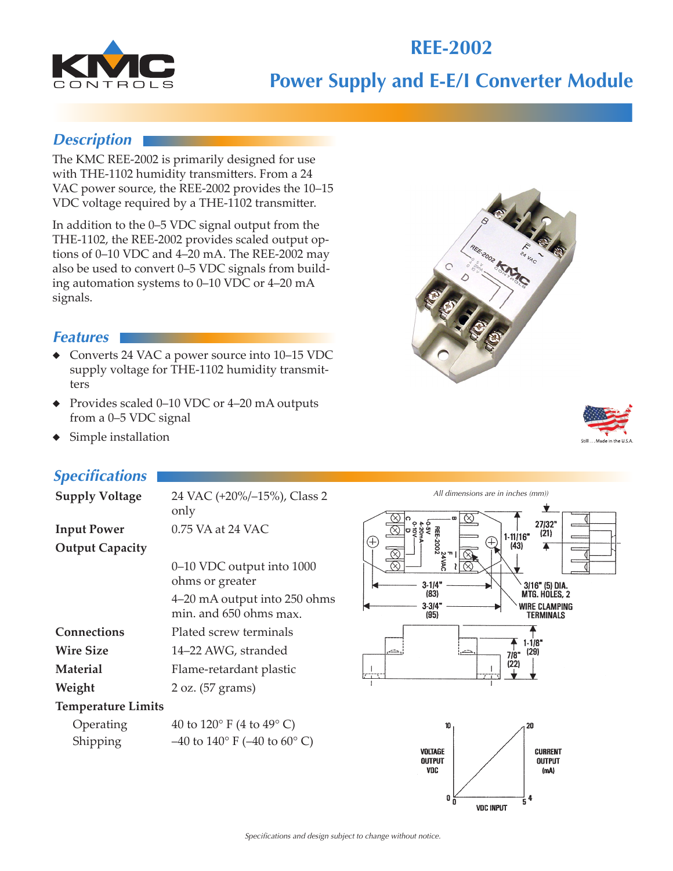# **Power Supply and E-E/I Converter Module**

**REE-2002**

## *Description*

The KMC REE-2002 is primarily designed for use with THE-1102 humidity transmitters. From a 24 VAC power source, the REE-2002 provides the 10–15 VDC voltage required by a THE-1102 transmitter.

In addition to the 0–5 VDC signal output from the THE-1102, the REE-2002 provides scaled output options of 0–10 VDC and 4–20 mA. The REE-2002 may also be used to convert 0–5 VDC signals from building automation systems to 0–10 VDC or 4–20 mA signals.

#### *Features*

- ◆ Converts 24 VAC a power source into 10–15 VDC supply voltage for THE-1102 humidity transmitters
- ◆ Provides scaled 0–10 VDC or 4–20 mA outputs from a 0–5 VDC signal
- Simple installation

# *Specifications*

| <b>Supply Voltage</b>     | 24 VAC (+20%/-15%), Class 2<br>only                    |
|---------------------------|--------------------------------------------------------|
| <b>Input Power</b>        | 0.75 VA at 24 VAC                                      |
| <b>Output Capacity</b>    |                                                        |
|                           | 0–10 VDC output into 1000<br>ohms or greater           |
|                           | 4–20 mA output into 250 ohms<br>min, and 650 ohms max. |
| Connections               | Plated screw terminals                                 |
| <b>Wire Size</b>          | 14–22 AWG, stranded                                    |
| <b>Material</b>           | Flame-retardant plastic                                |
| Weight                    | 2 oz. (57 grams)                                       |
| <b>Temperature Limits</b> |                                                        |
| Operating                 | 40 to $120^{\circ}$ F (4 to $49^{\circ}$ C)            |
| Shipping                  | $-40$ to $140^{\circ}$ F ( $-40$ to $60^{\circ}$ C)    |
|                           |                                                        |







**VDC INPUT** 

4 5

0